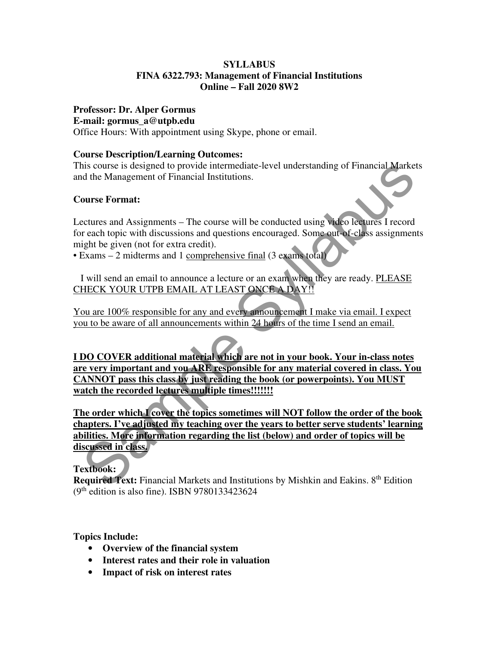#### **SYLLABUS FINA 6322.793: Management of Financial Institutions Online – Fall 2020 8W2**

#### **Professor: Dr. Alper Gormus**

#### **E-mail: gormus\_a@utpb.edu**

Office Hours: With appointment using Skype, phone or email.

### **Course Description/Learning Outcomes:**

This course is designed to provide intermediate-level understanding of Financial Markets and the Management of Financial Institutions.

## **Course Format:**

Lectures and Assignments – The course will be conducted using video lectures I record for each topic with discussions and questions encouraged. Some out-of-class assignments might be given (not for extra credit).

• Exams – 2 midterms and 1 comprehensive final (3 exams total)

 I will send an email to announce a lecture or an exam when they are ready. PLEASE CHECK YOUR UTPB EMAIL AT LEAST ONCE A DAY!!

You are 100% responsible for any and every announcement I make via email. I expect you to be aware of all announcements within 24 hours of the time I send an email.

**I DO COVER additional material which are not in your book. Your in-class notes are very important and you ARE responsible for any material covered in class. You CANNOT pass this class by just reading the book (or powerpoints). You MUST watch the recorded lectures multiple times!!!!!!!**  his course is designed to provide intermediate-level understanding of Financial Marke<br>
and the Management of Financial Institutions.<br> **Source Format:**<br>
Secures and Assignments – The course will be conducted using video lec

**The order which I cover the topics sometimes will NOT follow the order of the book chapters. I've adjusted my teaching over the years to better serve students' learning abilities. More information regarding the list (below) and order of topics will be discussed in class.** 

## **Textbook:**

**Required Text:** Financial Markets and Institutions by Mishkin and Eakins. 8<sup>th</sup> Edition  $(9<sup>th</sup>$  edition is also fine). ISBN 9780133423624

## **Topics Include:**

- **Overview of the financial system**
- **Interest rates and their role in valuation**
- **Impact of risk on interest rates**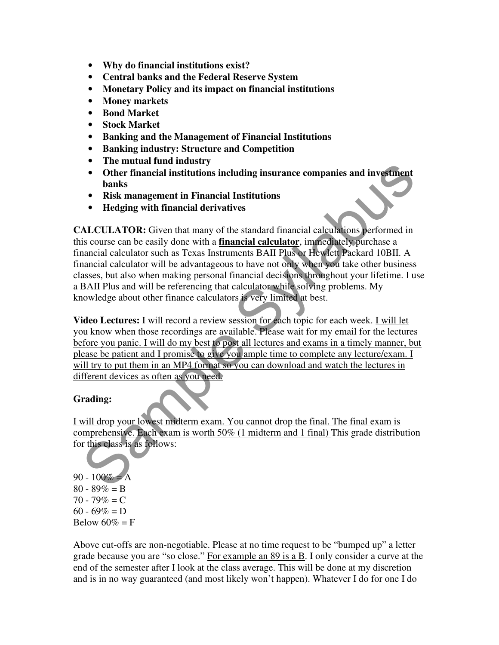- **Why do financial institutions exist?**
- **Central banks and the Federal Reserve System**
- **Monetary Policy and its impact on financial institutions**
- **Money markets**
- **Bond Market**
- **Stock Market**
- **Banking and the Management of Financial Institutions**
- **Banking industry: Structure and Competition**
- **The mutual fund industry**
- **Other financial institutions including insurance companies and investment banks**
- **Risk management in Financial Institutions**
- **Hedging with financial derivatives**

**CALCULATOR:** Given that many of the standard financial calculations performed in this course can be easily done with a **financial calculator**, immediately purchase a financial calculator such as Texas Instruments BAII Plus or Hewlett Packard 10BII. A financial calculator will be advantageous to have not only when you take other business classes, but also when making personal financial decisions throughout your lifetime. I use a BAII Plus and will be referencing that calculator while solving problems. My knowledge about other finance calculators is very limited at best. For mindial number and activity of the final contained and the set of the final contained and investment<br>
banks<br>
Sample of the financial institutions<br>
Shake management in Financial derivatives<br>
ALCULATOR: Given that many o

**Video Lectures:** I will record a review session for each topic for each week. I will let you know when those recordings are available. Please wait for my email for the lectures before you panic. I will do my best to post all lectures and exams in a timely manner, but please be patient and I promise to give you ample time to complete any lecture/exam. I will try to put them in an MP4 format so you can download and watch the lectures in different devices as often as you need.

# **Grading:**

I will drop your lowest midterm exam. You cannot drop the final. The final exam is comprehensive. Each exam is worth 50% (1 midterm and 1 final) This grade distribution for this class is as follows:

 $90 - 100\% = A$  $80 - 89\% = B$  $70 - 79\% = C$  $60 - 69\% = D$ Below  $60\% = F$ 

Above cut-offs are non-negotiable. Please at no time request to be "bumped up" a letter grade because you are "so close." For example an 89 is a B. I only consider a curve at the end of the semester after I look at the class average. This will be done at my discretion and is in no way guaranteed (and most likely won't happen). Whatever I do for one I do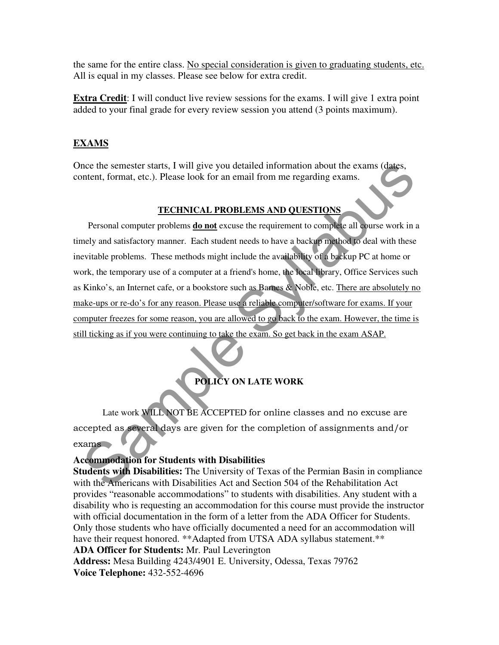the same for the entire class. No special consideration is given to graduating students, etc. All is equal in my classes. Please see below for extra credit.

**Extra Credit**: I will conduct live review sessions for the exams. I will give 1 extra point added to your final grade for every review session you attend (3 points maximum).

## **EXAMS**

Once the semester starts, I will give you detailed information about the exams (dates, content, format, etc.). Please look for an email from me regarding exams.

#### **TECHNICAL PROBLEMS AND QUESTIONS**

Personal computer problems **do not** excuse the requirement to complete all course work in a timely and satisfactory manner. Each student needs to have a backup method to deal with these inevitable problems. These methods might include the availability of a backup PC at home or work, the temporary use of a computer at a friend's home, the local library, Office Services such as Kinko's, an Internet cafe, or a bookstore such as Barnes & Noble, etc. There are absolutely no make-ups or re-do's for any reason. Please use a reliable computer/software for exams. If your computer freezes for some reason, you are allowed to go back to the exam. However, the time is still ticking as if you were continuing to take the exam. So get back in the exam ASAP. note the semester starts, I will give you detailed information about the exams (dates,<br>notent, format, etc.). Please look for an email from me regarding exams.<br>TECHNICAL PROBLEMS AND QUESTIONS<br>Personal computer problems do

# **POLICY ON LATE WORK**

Late work WILL NOT BE ACCEPTED for online classes and no excuse are accepted as several days are given for the completion of assignments and/or exams

#### **Accommodation for Students with Disabilities**

**Students with Disabilities:** The University of Texas of the Permian Basin in compliance with the Americans with Disabilities Act and Section 504 of the Rehabilitation Act provides "reasonable accommodations" to students with disabilities. Any student with a disability who is requesting an accommodation for this course must provide the instructor with official documentation in the form of a letter from the ADA Officer for Students. Only those students who have officially documented a need for an accommodation will have their request honored. \*\*Adapted from UTSA ADA syllabus statement.\*\* **ADA Officer for Students:** Mr. Paul Leverington

**Address:** Mesa Building 4243/4901 E. University, Odessa, Texas 79762 **Voice Telephone:** 432-552-4696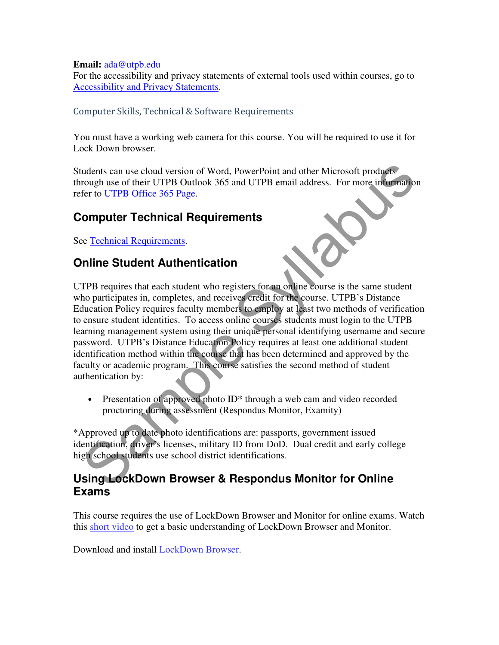#### **Email:** ada@utpb.edu

For the accessibility and privacy statements of external tools used within courses, go to Accessibility and Privacy Statements.

### Computer Skills, Technical & Software Requirements

You must have a working web camera for this course. You will be required to use it for Lock Down browser.

Students can use cloud version of Word, PowerPoint and other Microsoft products through use of their UTPB Outlook 365 and UTPB email address. For more information refer to UTPB Office 365 Page.

# **Computer Technical Requirements**

See Technical Requirements.

# **Online Student Authentication**

UTPB requires that each student who registers for an online course is the same student who participates in, completes, and receives credit for the course. UTPB's Distance Education Policy requires faculty members to employ at least two methods of verification to ensure student identities. To access online courses students must login to the UTPB learning management system using their unique personal identifying username and secure password. UTPB's Distance Education Policy requires at least one additional student identification method within the course that has been determined and approved by the faculty or academic program. This course satisfies the second method of student authentication by: udents can use cloud version of Word, PowerPoint and other Microsoft products<br>rough use of their UTPB Outlook 365 and UTPB email address. For more informatio<br>fer to UTPB Office 365 Page.<br>**Computer Technical Requirements**<br>

• Presentation of approved photo  $ID^*$  through a web cam and video recorded proctoring during assessment (Respondus Monitor, Examity)

\*Approved up to date photo identifications are: passports, government issued identification, driver's licenses, military ID from DoD. Dual credit and early college high school students use school district identifications.

# **Using LockDown Browser & Respondus Monitor for Online Exams**

This course requires the use of LockDown Browser and Monitor for online exams. Watch this short video to get a basic understanding of LockDown Browser and Monitor.

Download and install LockDown Browser.